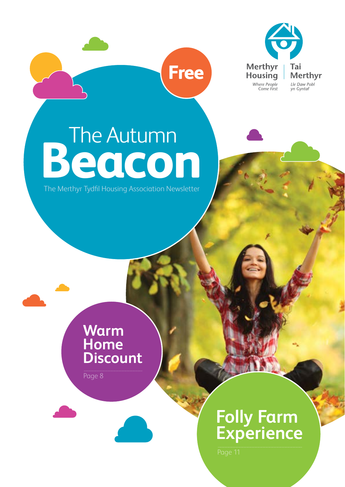

## **Beacon** The Autumn

**Free**

The Merthyr Tydfil Housing Association Newsletter

**Warm Home Discount**

Page 8

### **Folly Farm Experience**

Page 11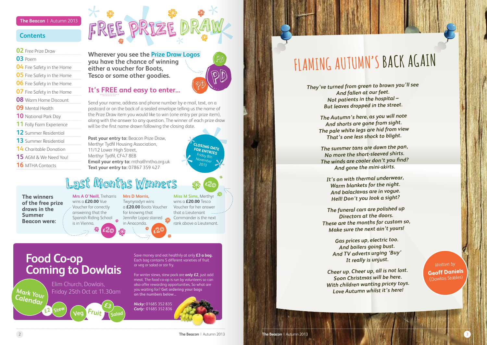### **Contents**

### **The Beacon** | Autumn 2013

### **02** Free Prize Draw

| <b>04</b> Fire Safety in the Home |  |
|-----------------------------------|--|
|-----------------------------------|--|

- **05** Fire Safety in the Home
- **06** Fire Safety in the Home
- **07** Fire Safety in the Home
- **08** Warm Home Discount
- **09** Mental Health
- **10** National Park Day
- **11** Folly Farm Experience
- **12** Summer Residential
- **13** Summer Residential
- **14** Charitable Donation
- **15** AGM & We Need You!
- **16** MTHA Contacts

**Wherever you see the Prize Draw Logos you have the chance of winning either a voucher for Boots, Tesco or some other goodies.**

### **It's FREE and easy to enter...**

Send your name, address and phone number by e-mail, text, on a postcard or on the back of a sealed envelope telling us the name of the Prize Draw item you would like to win (one entry per prize item), along with the answer to any question. The winner of each prize draw will be the first name drawn following the closing date.

**Post your entry to:** Beacon Prize Draw, Merthyr Tydfil Housing Association, 11/12 Lower High Street, Merthyr Tydfil, CF47 8EB **Email your entry to:** mtha@mtha.org.uk **Text your entry to:** 07867 359 427



FREE PRIZE DRAW

Save money and eat healthily at only **£3 a bag.** Each bag contains 5 different varieties of fruit or veg or salad or stir fry.

For winter stews, stew pack are **only £2**, just add meat. The food co-op is run by volunteers so can also offer rewarding opportunities, So what are you waiting for? **Get ordering your bags on the numbers below...**



*Nicky:* 01685 352 835 *Carly:* 01685 352 836



**The winners of the free prize draws in the Summer Beacon were:**

**Mrs A O'Neill,** Treharris **Mrs D Morris,** wins a **£20.00** Vue Voucher for correctly answering that the Spanish Riding School is in Vienna.

Twynyrodyn wins a **£20.00** Boots Voucher for knowing that Jennifer Lopez starred in Anaconda. **£**20 **£**20

**Miss M Sims,** Merthyr wins a **£20.00** Tesco Voucher for her answer that a Lieutenant Commander is the next rank above a Lieutenant.

### Last Months Winners

**£**20

*They've turned from green to brown you'll see And fallen at our feet. Not patients in the hospital – But leaves dropped in the street.*

> *The Autumn's here, as you will note And shorts are gone from sight. The pale white legs are hid from view That's one less shock to blight.*

*The summer tans are down the pan, No more the short-sleeved shirts. The winds are cooler don't you find? And gone the mini-skirts.*

*It's on with thermal underwear, Warm blankets for the night. And balaclavas are in vogue. Hell! Don't you look a sight?*

*The funeral cars are polished up Directors at the doors. These are the months for custom so, Make sure the next ain't yours!*

> *Gas prices up, electric too. And boilers going bust. And TV adverts urging 'Buy' It really is unjust.*

*Cheer up. Cheer up, all is not lost. Soon Christmas will be here. With children wanting pricey toys. Love Autumn whilst it's here!*

## **FLAMING AUTUMN'S BACK AGAIN**

*Written by* **Geoff Daniels** (Dowlais Stables)

**Food Co-op Coming to Dowlais**

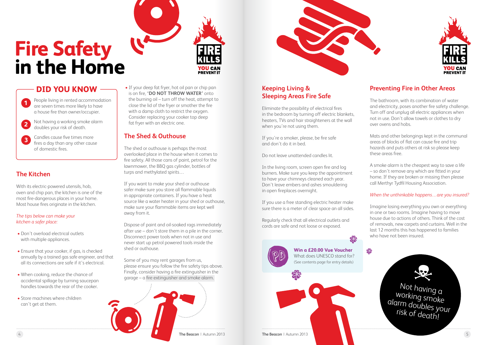4 **The Beacon** | Autumn 2013 **The Beacon** | Autumn 2013 5



### **Keeping Living & Sleeping Areas Fire Safe**

Eliminate the possibility of electrical fires in the bedroom by turning off electric blankets, heaters, TVs and hair straighteners at the wall when you're not using them.

If you're a smoker, please, be fire safe and don't do it in bed.

Do not leave unattended candles lit.

In the living room, screen open fire and log burners. Make sure you keep the appointment to have your chimneys cleaned each year. Don't leave embers and ashes smouldering in open fireplaces overnight.

If you use a free standing electric heater make sure there is a meter of clear space an all sides.

Regularly check that all electrical outlets and cords are safe and not loose or exposed.

### **Preventing Fire in Other Areas**

The bathroom, with its combination of water and electricity, poses another fire safety challenge. Turn off and unplug all electric appliances when not in use. Don't allow towels or clothes to dry over ovens and hobs.

Mats and other belongings kept in the communal areas of blocks of flat can cause fire and trip hazards and puts others at risk so please keep these areas free.

A smoke alarm is the cheapest way to save a life – so don't remove any which are fitted in your home. If they are broken or missing then please call Merthyr Tydfil Housing Association.

### *When the unthinkable happens…are you insured?*

Imagine losing everything you own or everything in one or two rooms. Imagine having to move house due to actions of others. Think of the cost of removals, new carpets and curtains. Well in the last 12 months this has happened to families who have not been insured.





• If your deep fat fryer, hot oil pan or chip pan is on fire, **'DO NOT THROW WATER'** onto the burning oil – turn off the heat, attempt to close the lid of the fryer or smother the fire with a damp cloth to restrict the oxygen. Consider replacing your cooker top deep fat fryer with an electric one.

**OU CAN** 

**PREVENT IT** 

Not having a working smoke alarm doubles your risk of death!

**Win a £20.00 Vue Voucher** What does UNESCO stand for?<br>(See contents page for entry details)

### **The Shed & Outhouse**

The shed or outhouse is perhaps the most overlooked place in the house when it comes to fire safety. All those cans of paint, petrol for the lawnmower, the BBQ gas cylinder, bottles of turps and methylated spirits…

If you want to make your shed or outhouse safer make sure you store all flammable liquids in appropriate containers. If you have a heat source like a water heater in your shed or outhouse, make sure your flammable items are kept well away from it.

Dispose of paint and oil-soaked rags immediately after use – don't store them in a pile in the corner. Disconnect power tools when not in use and never start up petrol powered tools inside the shed or outhouse.

Some of you may rent garages from us, please ensure you follow the fire safety tips above. Finally, consider having a fire extinguisher in the garage – a fire extinguisher and smoke alarm.





## **Fire Safety in the Home**

### **The Kitchen**

With its electric-powered utensils, hob, oven and chip pan, the kitchen is one of the most fire-dangerous places in your home. Most house fires originate in the kitchen.

### *The tips below can make your kitchen a safer place:*

- Don't overload electrical outlets with multiple appliances.
- Ensure that your cooker, if gas, is checked annually by a trained gas safe engineer, and that all its connections are safe if it's electrical.
- When cooking, reduce the chance of accidental spillage by turning saucepan handles towards the rear of the cooker.
- Store machines where children can't get at them.



People living in rented accommodation are seven times more likely to have a house fire than owner/occupier.

- Not having a working smoke alarm doubles your risk of death. **2**
- Candles cause five times more fires a day than any other cause of domestic fires. **3**

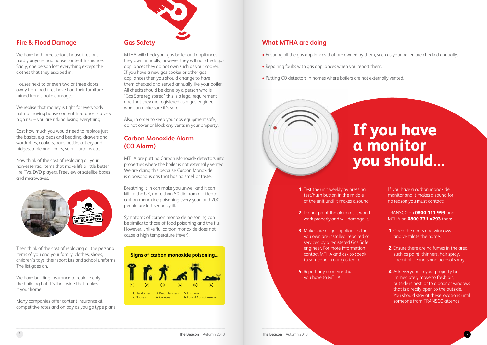6 **The Beacon** | Autumn 2013 **The Beacon** | Autumn 2013

### **What MTHA are doing**

- Ensuring all the gas appliances that are owned by them, such as your boiler, are checked annually.
- Repairing faults with gas appliances when you report them.
- Putting CO detectors in homes where boilers are not externally vented.



**1.** Test the unit weekly by pressing test/hush button in the middle of the unit until it makes a sound.

- **2.** Do not paint the alarm as it won't work properly and will damage it.
- **3.** Make sure all gas appliances that you own are installed, repaired or serviced by a registered Gas Safe engineer. For more information contact MTHA and ask to speak to someone in our gas team.
- **4.** Report any concerns that you have to MTHA.

If you have a carbon monoxide monitor and it makes a sound for no reason you must contact:

TRANSCO on **0800 111 999** and MTHA on **0800 731 4293** then:

- **1.** Open the doors and windows and ventilate the home.
- **2.** Ensure there are no fumes in the area such as paint, thinners, hair spray, chemical cleaners and aerosol spray.
- **3.** Ask everyone in your property to immediately move to fresh air, outside is best, or to a door or windows that is directly open to the outside. You should stay at these locations until someone from TRANSCO attends.

## **If you have a monitor you should...**



### **Fire & Flood Damage**

We have had three serious house fires but hardly anyone had house content insurance. Sadly, one person lost everything except the clothes that they escaped in.

> Also, in order to keep your gas equipment safe. do not cover or block any vents in your property.

Houses next to or even two or three doors away from bad fires have had their furniture ruined from smoke damage.

We realise that money is tight for everybody but not having house content insurance is a very high risk – you are risking losing everything.

Cost how much you would need to replace just the basics, e.g. beds and bedding, drawers and wardrobes, cookers, pans, kettle, cutlery and fridges, table and chairs, sofa , curtains etc.

Now think of the cost of replacing all your non-essential items that make life a little better like TVs, DVD players, Freeview or satellite boxes and microwaves.



Then think of the cost of replacing all the personal items of you and your family, clothes, shoes, children's toys, their sport kits and school uniforms. The list goes on.

We have building insurance to replace only the building but it's the inside that makes it your home.

Many companies offer content insurance at competitive rates and on pay as you go type plans.

### **Gas Safety**

MTHA will check your gas boiler and appliances they own annually, however they will not check gas appliances they do not own such as your cooker. If you have a new gas cooker or other gas appliances then you should arrange to have them checked and served annually like your boiler. All checks should be done by a person who is 'Gas Safe registered' this is a legal requirement and that they are registered as a gas engineer who can make sure it's safe.

### **Carbon Monoxide Alarm (CO Alarm)**

MTHA are putting Carbon Monoxide detectors into properties where the boiler is not externally vented. We are doing this because Carbon Monoxide is a poisonous gas that has no smell or taste.

Breathing it in can make you unwell and it can kill. In the UK, more than 50 die from accidental carbon monoxide poisoning every year, and 200 people are left seriously ill.

Symptoms of carbon monoxide poisoning can be similar to those of food poisoning and the flu. However, unlike flu, carbon monoxide does not cause a high temperature (fever).

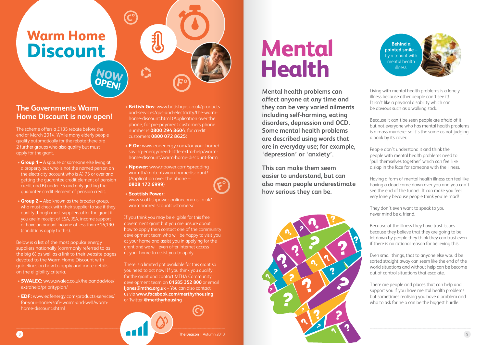**Mental health problems can affect anyone at any time and they can be very varied ailments including self-harming, eating disorders, depression and OCD. Some mental health problems are described using words that are in everyday use; for example, 'depression' or 'anxiety'.** 

**This can make them seem easier to understand, but can also mean people underestimate how serious they can be.**



Living with mental health problems is a lonely illness because other people can't see it! It isn't like a physical disability which can be obvious such as a walking stick.

Because it can't be seen people are afraid of it but not everyone who has mental health problems is a mass murderer so it's the same as not judging a book by its cover.

People don't understand it and think the people with mental health problems need to 'pull themselves together' which can feel like a slap in the face for someone with the illness.

Having a form of mental health illness can feel like having a cloud come down over you and you can't see the end of the tunnel. It can make you feel very lonely because people think you're mad!

They don't even want to speak to you never mind be a friend.

Because of the illness they have trust issues because they believe that they are going to be let down by people they think they can trust even if there is no rational reason for believing this.

Even small things, that to anyone else would be sorted straight away can seem like the end of the world situations and without help can be become out of control situations that escalate.

There are people and places that can help and support you if you have mental health problems but sometimes realising you have a problem and who to ask for help can be the biggest hurdle.

**Behind a painted smile** – by a tenant with mental health illness.



## **Mental Health**

8 **The Beacon** | Autumn 2013

### **The Governments Warm Home Discount is now open!**

The scheme offers a £135 rebate before the end of March 2014. While many elderly people qualify automatically for the rebate there are 2 further groups who also qualify but must apply for the grant.

- **Group 1 –** A spouse or someone else living at a property but who is not the named person on the electricity account who is A) 75 or over and getting the guarantee credit element of pension credit and B) under 75 and only getting the guarantee credit element of pension credit.
- **Group 2 –** Also known as the broader group, who must check with their supplier to see if they qualify though most suppliers offer the grant if you are in receipt of ESA, JSA, income support or have an annual income of less than £16,190 (conditions apply to this).

Below is a list of the most popular energy suppliers nationally (commonly referred to as the big 6) as well as a link to their website pages devoted to the Warm Home Discount with guidelines on how to apply and more details on the eligibility criteria.

- **SWALEC:** www.swalec.co.uk/helpandadvice/ extrahelp/priorityplan/
- **EDF:** www.edfenergy.com/products-services/ for-your-home/safe-warm-and-well/warmhome-discount.shtml
- **British Gas:** www.britishgas.co.uk/productsand-services/gas-and-electricity/the-warmhome-discount.html (Application over the phone, for pre-payment customers phone number is **0800 294 8604**, for credit customers **0800 072 8625**)
- **E.On:** www.eonenergy.com/for-your-home/ saving-energy/need-little-extra-help/warmhome-discount/warm-home-discount-form
- **Npower:** www.npower.com/spreading\_ warmth/content/warmhomediscount/ (Application over the phone – **0808 172 6999**)



• **Scottish Power:** www.scottishpower-onlinecomms.co.uk/ warmhomediscountcustomers/

If you think you may be eligible for this free government grant but you are unsure about how to apply then contact one of the community development team who will be happy to visit you at your home and assist you in applying for the grant and we will even offer internet access at your home to assist you to apply.

There is a limited pot available for this grant so you need to act now! If you think you qualify for the grant and contact MTHA Community development team on **01685 352 800** or email **ljones@mtha.org.uk** – You can also contact us via **www.facebook.com/merthyrhousing** or Twitter **@merthyrhousing** 

## **Warm Home Discount**

**NOW OPEN!**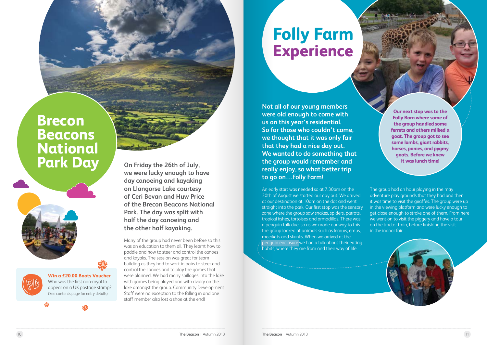### **Brecon Beacons National Park Day On Friday the 26th of July,**

**we were lucky enough to have day canoeing and kayaking on Llangorse Lake courtesy of Ceri Bevan and Huw Price of the Brecon Beacons National Park. The day was split with half the day canoeing and the other half kayaking.**

Many of the group had never been before so this was an education to them all. They learnt how to paddle and how to steer and control the canoes and kayaks. The session was great for team building as they had to work in pairs to steer and control the canoes and to play the games that were planned. We had many spillages into the lake with games being played and with rivalry on the lake amongst the group. Community Development Staff were no exception to the falling in and one staff member also lost a shoe at the end!

The group had an hour playing in the may adventure play grounds that they had and then it was time to visit the giraffes. The group were up in the viewing platform and were lucky enough to get close enough to stroke one of them. From here we went on to visit the piggery and have a tour on the tractor train, before finishing the visit in the indoor fair.

**Our next stop was to the Folly Barn where some of the group handled some ferrets and others milked a goat. The group got to see some lambs, giant rabbits, horses, ponies, and pygmy goats. Before we knew it was lunch time!**

## **Folly Farm Experience**

**Not all of our young members were old enough to come with us on this year's residential. So for those who couldn't come, we thought that it was only fair that they had a nice day out. We wanted to do something that the group would remember and really enjoy, so what better trip to go on…Folly Farm!**

An early start was needed so at 7.30am on the 30th of August we started our day out. We arrived at our destination at 10am on the dot and went straight into the park. Our first stop was the sensory zone where the group saw snakes, spiders, parrots, tropical fishes, tortoises and armadillos. There was a penguin talk due, so as we made our way to this the group looked at animals such as lemurs, emus, meerkats and skunks. When we arrived at the penguin enclosure we had a talk about their eating habits, where they are from and their way of life.



**Win a £20.00 Boots Voucher** Who was the first non-royal to appear on a UK postage stamp? (See contents page for entry details)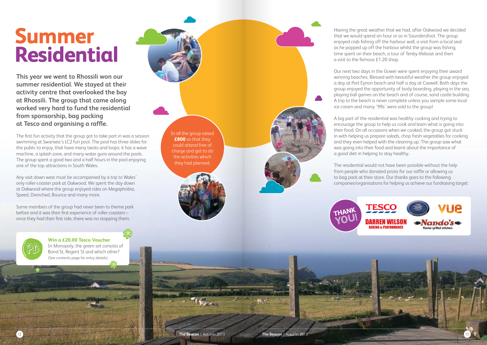Having the great weather that we had, after Oakwood we decided that we would spend an hour or so in Saundersfoot. The group enjoyed crab fishing off the harbour wall, a visit from a local seal as he popped up off the harbour whilst the group was fishing, time spent on their beach, a tour of Tenby lifeboat and then



Our next two days in the Gower were spent enjoying their award winning beaches. Blessed with beautiful weather the group enjoyed a day at Port Eynon beach and half a day at Caswell. Both days the group enjoyed the opportunity of body-boarding, playing in the sea, playing ball games on the beach and of course, sand castle building. A trip to the beach is never complete unless you sample some local ice cream and many '99s' were sold to the group!

A big part of the residential was healthy cooking and trying to encourage the group to help us cook and learn what is going into their food. On all occasions when we cooked, the group got stuck in with helping us prepare salads, chop fresh vegetables for cooking and they even helped with the cleaning up. The group saw what was going into their food and learnt about the importance of a good diet in helping to stay healthy.

The residential would not have been possible without the help from people who donated prizes for our raffle or allowing us to bag pack at their store. Our thanks goes to the following companies/organisations for helping us achieve our fundraising target:

**This year we went to Rhossili won our summer residential. We stayed at their activity centre that overlooked the bay at Rhossili. The group that came along worked very hard to fund the residential from sponsorship, bag packing at Tesco and organising a raffle.** 

The first fun activity that the group got to take part in was a session swimming at Swansea's LC2 fun pool. The pool has three slides for the public to enjoy, that have many twists and loops; it has a wave machine, a splash zone, and many water guns around the pools. The group spent a good two and a half hours in the pool enjoying one of the top attractions in South Wales.

Any visit down west must be accompanied by a trip to Wales' only roller-coaster park at Oakwood. We spent the day down at Oakwood where the group enjoyed rides on Megaphobia, Speed, Drenched, Bounce and many more.

Some members of the group had never been to theme park before and it was their first experience of roller-coasters – once they had their first ride, there was no stopping them.

## **Summer Residential**

In all the group raised **£800** so that they could attend free of charge and get to do the activities which they had planned.





**Win a £20.00 Tesco Voucher** In Monopoly, the green set consists of Bond St, Regent St and which other? (See contents page for entry details)

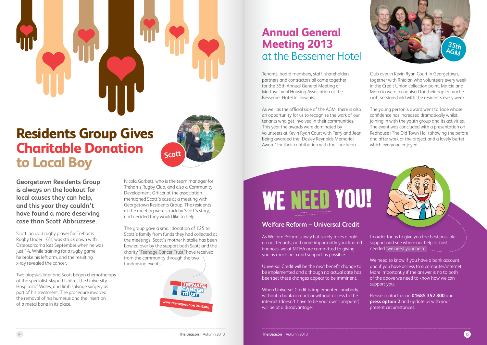**Georgetown Residents Group is always on the lookout for local causes they can help, and this year they couldn't have found a more deserving case than Scott Abbruzzese.**

Scott, an avid rugby player for Treharris Rugby Under 16's, was struck down with Osteosarcoma last September when he was just 14. While training for a rugby game, he broke his left arm, and the resulting x-ray revealed the cancer.

Two biopsies later and Scott began chemotherapy at the specialist Skypad Unit at the University Hospital of Wales, and limb salvage surgery as part of his treatment. The procedure involved the removal of his humerus and the insertion of a metal bone in its place.

Nicola Garbett, who is the team manager for Treharris Rugby Club, and also a Community Development Officer at the association mentioned Scott's case at a meeting with Georgetown Residents Group. The residents at the meeting were struck by Scott's story, and decided they would like to help.

The group gave a small donation of £25 to Scott's family from funds they had collected at the meetings. Scott's mother Natalie has been bowled over by the support both Scott and the charity 'Teenage Cancer Trust' have received from the community through the two fundraising events.

### **Welfare Reform – Universal Credit**

As Welfare Reform slowly but surely takes a hold on our tenants, and more importantly your limited finances, we at MTHA are committed to giving you as much help and support as possible.

Universal Credit will be the next benefit change to be implemented and although no actual date has been set these changes appear to be imminent.

We need to know if you have a bank account and if you have access to a computer/internet. More importantly if the answer is no to both of the above we need to know how we can support you.

When Universal Credit is implemented, anybody without a bank account or without access to the internet (doesn't have to be your own computer) will be at a disadvantage.



### **Residents Group Gives Charitable Donation to Local Boy**





### **Annual General Meeting 2013** at the Bessemer Hotel

Club over in Kevin Ryan Court in Georgetown, together with Rhidian who volunteers every week in the Credit Union collection point. Marcia and Marcelo were recognised for their papier mache craft sessions held with the residents every week.

The young person's award went to Jade whose confidence has increased dramatically whilst joining in with the youth group and its activities. The event was concluded with a presentation on Redhouse (The Old Town Hall) showing the before and after work of the project and a lovely buffet which everyone enjoyed.



Tenants, board members, staff, shareholders, partners and contractors all came together for the 35th Annual General Meeting of Merthyr Tydfil Housing Association at the Bessemer Hotel in Dowlais.

As well as the official side of the AGM, there is also an opportunity for us to recognise the work of our tenants who get involved in their communities. This year the awards were dominated by volunteers at Kevin Ryan Court with Terry and Jean being awarded the 'Desley Reynolds Memorial Award' for their contribution with the Luncheon

# WE NEED YOU!

In order for us to give you the best possible support and see where our help is most needed 'we need your help'.

Please contact us on **01685 352 800** and **press option 2** and update us with your present circumstances.